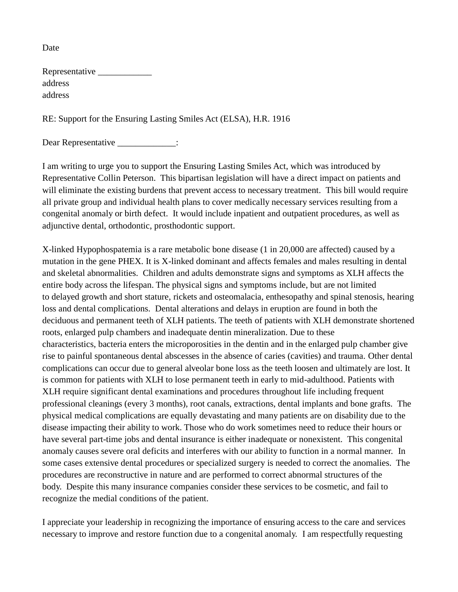Date

| Representative |  |
|----------------|--|
| address        |  |
| address        |  |

RE: Support for the Ensuring Lasting Smiles Act (ELSA), H.R. 1916

Dear Representative \_\_\_\_\_\_\_\_\_\_\_\_\_\_:

I am writing to urge you to support the Ensuring Lasting Smiles Act, which was introduced by Representative Collin Peterson. This bipartisan legislation will have a direct impact on patients and will eliminate the existing burdens that prevent access to necessary treatment. This bill would require all private group and individual health plans to cover medically necessary services resulting from a congenital anomaly or birth defect. It would include inpatient and outpatient procedures, as well as adjunctive dental, orthodontic, prosthodontic support.

X-linked Hypophospatemia is a rare metabolic bone disease (1 in 20,000 are affected) caused by a mutation in the gene PHEX. It is X-linked dominant and affects females and males resulting in dental and skeletal abnormalities. Children and adults demonstrate signs and symptoms as XLH affects the entire body across the lifespan. The physical signs and symptoms include, but are not limited to delayed growth and short stature, rickets and osteomalacia, enthesopathy and spinal stenosis, hearing loss and dental complications. Dental alterations and delays in eruption are found in both the deciduous and permanent teeth of XLH patients. The teeth of patients with XLH demonstrate shortened roots, enlarged pulp chambers and inadequate dentin mineralization. Due to these characteristics, bacteria enters the microporosities in the dentin and in the enlarged pulp chamber give rise to painful spontaneous dental abscesses in the absence of caries (cavities) and trauma. Other dental complications can occur due to general alveolar bone loss as the teeth loosen and ultimately are lost. It is common for patients with XLH to lose permanent teeth in early to mid-adulthood. Patients with XLH require significant dental examinations and procedures throughout life including frequent professional cleanings (every 3 months), root canals, extractions, dental implants and bone grafts. The physical medical complications are equally devastating and many patients are on disability due to the disease impacting their ability to work. Those who do work sometimes need to reduce their hours or have several part-time jobs and dental insurance is either inadequate or nonexistent. This congenital anomaly causes severe oral deficits and interferes with our ability to function in a normal manner. In some cases extensive dental procedures or specialized surgery is needed to correct the anomalies. The procedures are reconstructive in nature and are performed to correct abnormal structures of the body. Despite this many insurance companies consider these services to be cosmetic, and fail to recognize the medial conditions of the patient.

I appreciate your leadership in recognizing the importance of ensuring access to the care and services necessary to improve and restore function due to a congenital anomaly. I am respectfully requesting